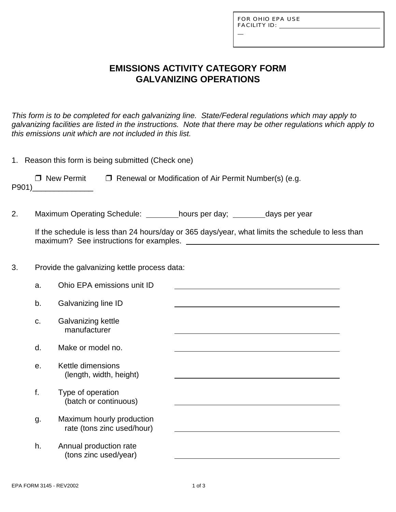L

## **EMISSIONS ACTIVITY CATEGORY FORM GALVANIZING OPERATIONS**

*This form is to be completed for each galvanizing line. State/Federal regulations which may apply to galvanizing facilities are listed in the instructions. Note that there may be other regulations which apply to this emissions unit which are not included in this list.*

|       | 1. Reason this form is being submitted (Check one)                                                |                                                                                                                              |  |  |  |  |  |  |
|-------|---------------------------------------------------------------------------------------------------|------------------------------------------------------------------------------------------------------------------------------|--|--|--|--|--|--|
| P901) |                                                                                                   | $\Box$ New Permit $\Box$ Renewal or Modification of Air Permit Number(s) (e.g.<br><u> 1989 - Jan Barbara III, markatar a</u> |  |  |  |  |  |  |
| 2.    |                                                                                                   | Maximum Operating Schedule: hours per day; _______ days per year                                                             |  |  |  |  |  |  |
|       | If the schedule is less than 24 hours/day or 365 days/year, what limits the schedule to less than |                                                                                                                              |  |  |  |  |  |  |
| 3.    | Provide the galvanizing kettle process data:                                                      |                                                                                                                              |  |  |  |  |  |  |
|       | a.                                                                                                | Ohio EPA emissions unit ID                                                                                                   |  |  |  |  |  |  |
|       | b.                                                                                                | Galvanizing line ID                                                                                                          |  |  |  |  |  |  |
|       | C.                                                                                                | Galvanizing kettle<br>manufacturer                                                                                           |  |  |  |  |  |  |
|       | d.                                                                                                | Make or model no.                                                                                                            |  |  |  |  |  |  |
|       | е.                                                                                                | Kettle dimensions<br>(length, width, height)                                                                                 |  |  |  |  |  |  |
|       | f.                                                                                                | Type of operation<br>(batch or continuous)                                                                                   |  |  |  |  |  |  |
|       | g.                                                                                                | Maximum hourly production<br>rate (tons zinc used/hour)                                                                      |  |  |  |  |  |  |
|       | h.                                                                                                | Annual production rate<br>(tons zinc used/year)                                                                              |  |  |  |  |  |  |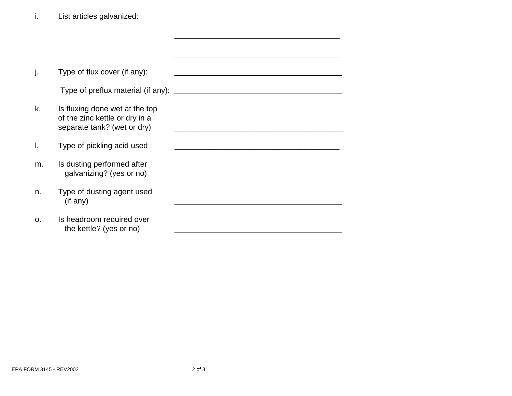| ı.             | List articles galvanized:                                                                       |  |
|----------------|-------------------------------------------------------------------------------------------------|--|
|                |                                                                                                 |  |
|                |                                                                                                 |  |
|                |                                                                                                 |  |
| J.             | Type of flux cover (if any):                                                                    |  |
|                | Type of preflux material (if any):                                                              |  |
| k.             | Is fluxing done wet at the top<br>of the zinc kettle or dry in a<br>separate tank? (wet or dry) |  |
| I.             | Type of pickling acid used                                                                      |  |
| m.             | Is dusting performed after<br>galvanizing? (yes or no)                                          |  |
| n.             | Type of dusting agent used<br>(if any)                                                          |  |
| O <sub>1</sub> | Is headroom required over<br>the kettle? (yes or no)                                            |  |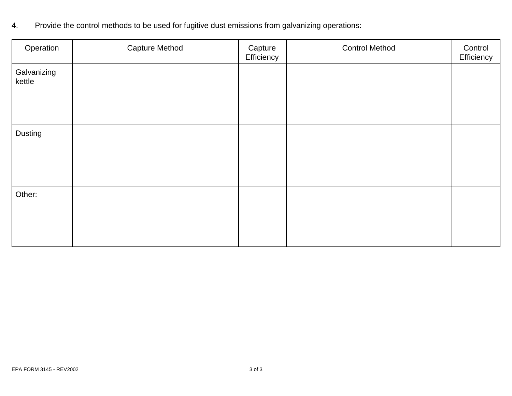4. Provide the control methods to be used for fugitive dust emissions from galvanizing operations:

| Operation             | <b>Capture Method</b> | Capture<br>Efficiency | <b>Control Method</b> | Control<br>Efficiency |
|-----------------------|-----------------------|-----------------------|-----------------------|-----------------------|
| Galvanizing<br>kettle |                       |                       |                       |                       |
| Dusting               |                       |                       |                       |                       |
| Other:                |                       |                       |                       |                       |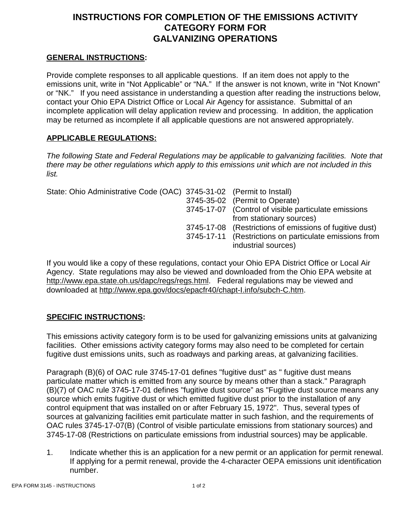# **INSTRUCTIONS FOR COMPLETION OF THE EMISSIONS ACTIVITY CATEGORY FORM FOR GALVANIZING OPERATIONS**

### **GENERAL INSTRUCTIONS:**

Provide complete responses to all applicable questions. If an item does not apply to the emissions unit, write in "Not Applicable" or "NA." If the answer is not known, write in "Not Known" or "NK." If you need assistance in understanding a question after reading the instructions below, contact your Ohio EPA District Office or Local Air Agency for assistance. Submittal of an incomplete application will delay application review and processing. In addition, the application may be returned as incomplete if all applicable questions are not answered appropriately.

#### **APPLICABLE REGULATIONS:**

*The following State and Federal Regulations may be applicable to galvanizing facilities. Note that there may be other regulations which apply to this emissions unit which are not included in this list.*

| State: Ohio Administrative Code (OAC) 3745-31-02 (Permit to Install) |                                                                               |
|----------------------------------------------------------------------|-------------------------------------------------------------------------------|
|                                                                      | 3745-35-02 (Permit to Operate)                                                |
|                                                                      | 3745-17-07 (Control of visible particulate emissions                          |
|                                                                      | from stationary sources)                                                      |
|                                                                      | 3745-17-08 (Restrictions of emissions of fugitive dust)                       |
|                                                                      | 3745-17-11 (Restrictions on particulate emissions from<br>industrial sources) |

If you would like a copy of these regulations, contact your Ohio EPA District Office or Local Air Agency. State regulations may also be viewed and downloaded from the Ohio EPA website at http://www.epa.state.oh.us/dapc/regs/regs.html. Federal regulations may be viewed and downloaded at http://www.epa.gov/docs/epacfr40/chapt-I.info/subch-C.htm.

### **SPECIFIC INSTRUCTIONS:**

This emissions activity category form is to be used for galvanizing emissions units at galvanizing facilities. Other emissions activity category forms may also need to be completed for certain fugitive dust emissions units, such as roadways and parking areas, at galvanizing facilities.

Paragraph (B)(6) of OAC rule 3745-17-01 defines "fugitive dust" as " fugitive dust means particulate matter which is emitted from any source by means other than a stack." Paragraph (B)(7) of OAC rule 3745-17-01 defines "fugitive dust source" as "Fugitive dust source means any source which emits fugitive dust or which emitted fugitive dust prior to the installation of any control equipment that was installed on or after February 15, 1972". Thus, several types of sources at galvanizing facilities emit particulate matter in such fashion, and the requirements of OAC rules 3745-17-07(B) (Control of visible particulate emissions from stationary sources) and 3745-17-08 (Restrictions on particulate emissions from industrial sources) may be applicable.

1. Indicate whether this is an application for a new permit or an application for permit renewal. If applying for a permit renewal, provide the 4-character OEPA emissions unit identification number.